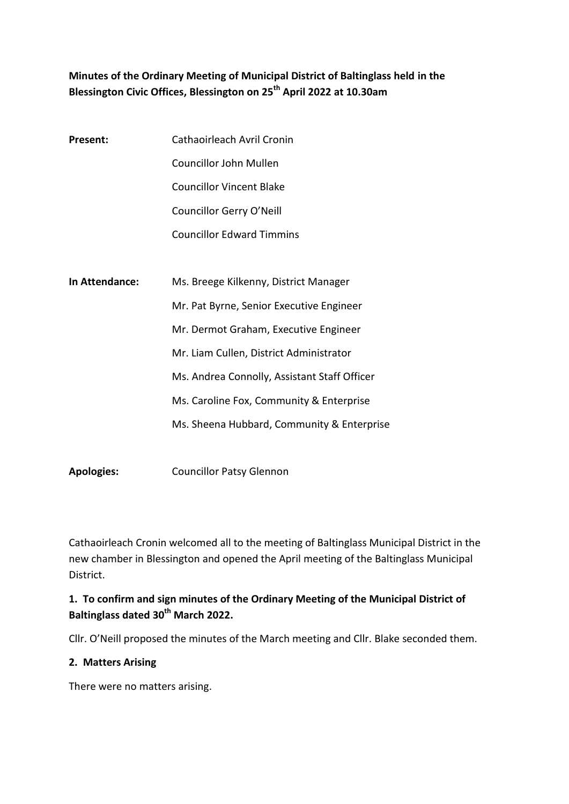# **Minutes of the Ordinary Meeting of Municipal District of Baltinglass held in the Blessington Civic Offices, Blessington on 25th April 2022 at 10.30am**

| <b>Present:</b> | Cathaoirleach Avril Cronin                   |
|-----------------|----------------------------------------------|
|                 | Councillor John Mullen                       |
|                 | Councillor Vincent Blake                     |
|                 | Councillor Gerry O'Neill                     |
|                 | <b>Councillor Edward Timmins</b>             |
|                 |                                              |
| In Attendance:  | Ms. Breege Kilkenny, District Manager        |
|                 | Mr. Pat Byrne, Senior Executive Engineer     |
|                 | Mr. Dermot Graham, Executive Engineer        |
|                 | Mr. Liam Cullen, District Administrator      |
|                 | Ms. Andrea Connolly, Assistant Staff Officer |
|                 | Ms. Caroline Fox, Community & Enterprise     |
|                 | Ms. Sheena Hubbard, Community & Enterprise   |
|                 |                                              |

**Apologies:** Councillor Patsy Glennon

Cathaoirleach Cronin welcomed all to the meeting of Baltinglass Municipal District in the new chamber in Blessington and opened the April meeting of the Baltinglass Municipal District.

# **1. To confirm and sign minutes of the Ordinary Meeting of the Municipal District of Baltinglass dated 30th March 2022.**

Cllr. O'Neill proposed the minutes of the March meeting and Cllr. Blake seconded them.

#### **2. Matters Arising**

There were no matters arising.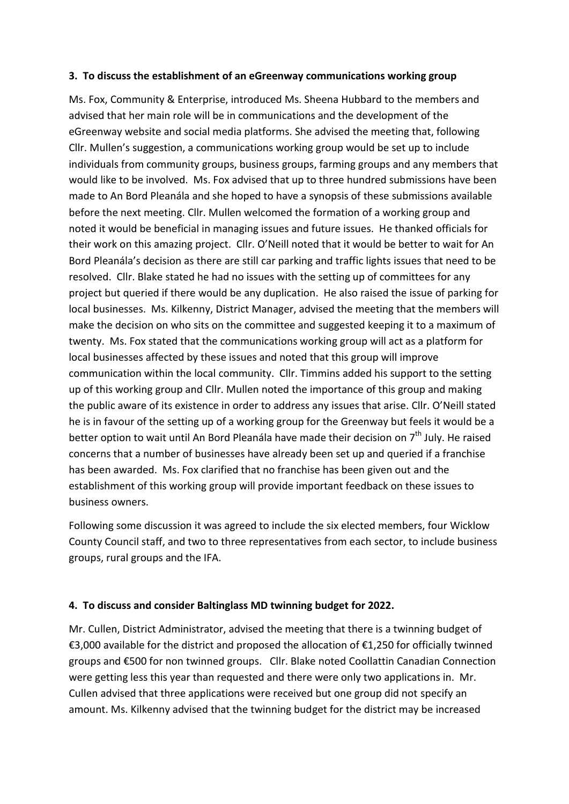#### **3. To discuss the establishment of an eGreenway communications working group**

Ms. Fox, Community & Enterprise, introduced Ms. Sheena Hubbard to the members and advised that her main role will be in communications and the development of the eGreenway website and social media platforms. She advised the meeting that, following Cllr. Mullen's suggestion, a communications working group would be set up to include individuals from community groups, business groups, farming groups and any members that would like to be involved. Ms. Fox advised that up to three hundred submissions have been made to An Bord Pleanála and she hoped to have a synopsis of these submissions available before the next meeting. Cllr. Mullen welcomed the formation of a working group and noted it would be beneficial in managing issues and future issues. He thanked officials for their work on this amazing project. Cllr. O'Neill noted that it would be better to wait for An Bord Pleanála's decision as there are still car parking and traffic lights issues that need to be resolved. Cllr. Blake stated he had no issues with the setting up of committees for any project but queried if there would be any duplication. He also raised the issue of parking for local businesses. Ms. Kilkenny, District Manager, advised the meeting that the members will make the decision on who sits on the committee and suggested keeping it to a maximum of twenty. Ms. Fox stated that the communications working group will act as a platform for local businesses affected by these issues and noted that this group will improve communication within the local community. Cllr. Timmins added his support to the setting up of this working group and Cllr. Mullen noted the importance of this group and making the public aware of its existence in order to address any issues that arise. Cllr. O'Neill stated he is in favour of the setting up of a working group for the Greenway but feels it would be a better option to wait until An Bord Pleanála have made their decision on 7<sup>th</sup> July. He raised concerns that a number of businesses have already been set up and queried if a franchise has been awarded. Ms. Fox clarified that no franchise has been given out and the establishment of this working group will provide important feedback on these issues to business owners.

Following some discussion it was agreed to include the six elected members, four Wicklow County Council staff, and two to three representatives from each sector, to include business groups, rural groups and the IFA.

#### **4. To discuss and consider Baltinglass MD twinning budget for 2022.**

Mr. Cullen, District Administrator, advised the meeting that there is a twinning budget of €3,000 available for the district and proposed the allocation of €1,250 for officially twinned groups and €500 for non twinned groups. Cllr. Blake noted Coollattin Canadian Connection were getting less this year than requested and there were only two applications in. Mr. Cullen advised that three applications were received but one group did not specify an amount. Ms. Kilkenny advised that the twinning budget for the district may be increased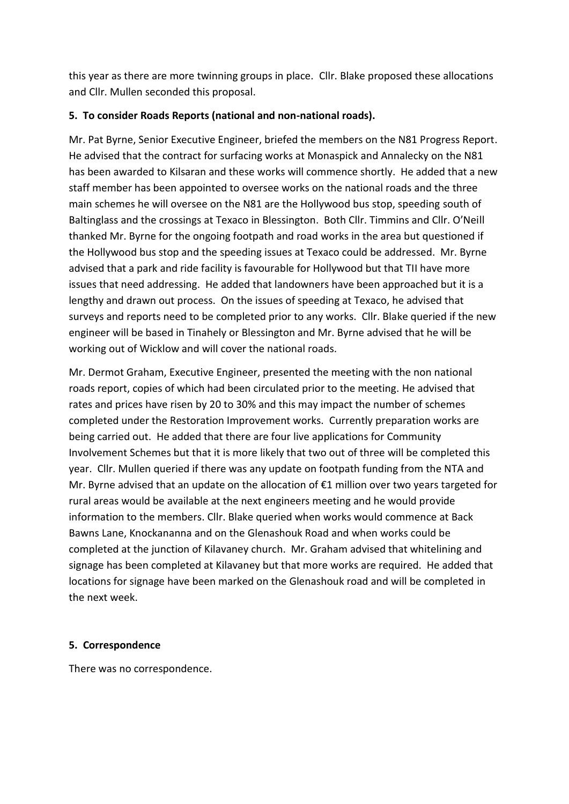this year as there are more twinning groups in place. Cllr. Blake proposed these allocations and Cllr. Mullen seconded this proposal.

### **5. To consider Roads Reports (national and non-national roads).**

Mr. Pat Byrne, Senior Executive Engineer, briefed the members on the N81 Progress Report. He advised that the contract for surfacing works at Monaspick and Annalecky on the N81 has been awarded to Kilsaran and these works will commence shortly. He added that a new staff member has been appointed to oversee works on the national roads and the three main schemes he will oversee on the N81 are the Hollywood bus stop, speeding south of Baltinglass and the crossings at Texaco in Blessington. Both Cllr. Timmins and Cllr. O'Neill thanked Mr. Byrne for the ongoing footpath and road works in the area but questioned if the Hollywood bus stop and the speeding issues at Texaco could be addressed. Mr. Byrne advised that a park and ride facility is favourable for Hollywood but that TII have more issues that need addressing. He added that landowners have been approached but it is a lengthy and drawn out process. On the issues of speeding at Texaco, he advised that surveys and reports need to be completed prior to any works. Cllr. Blake queried if the new engineer will be based in Tinahely or Blessington and Mr. Byrne advised that he will be working out of Wicklow and will cover the national roads.

Mr. Dermot Graham, Executive Engineer, presented the meeting with the non national roads report, copies of which had been circulated prior to the meeting. He advised that rates and prices have risen by 20 to 30% and this may impact the number of schemes completed under the Restoration Improvement works. Currently preparation works are being carried out. He added that there are four live applications for Community Involvement Schemes but that it is more likely that two out of three will be completed this year. Cllr. Mullen queried if there was any update on footpath funding from the NTA and Mr. Byrne advised that an update on the allocation of €1 million over two years targeted for rural areas would be available at the next engineers meeting and he would provide information to the members. Cllr. Blake queried when works would commence at Back Bawns Lane, Knockananna and on the Glenashouk Road and when works could be completed at the junction of Kilavaney church. Mr. Graham advised that whitelining and signage has been completed at Kilavaney but that more works are required. He added that locations for signage have been marked on the Glenashouk road and will be completed in the next week.

### **5. Correspondence**

There was no correspondence.